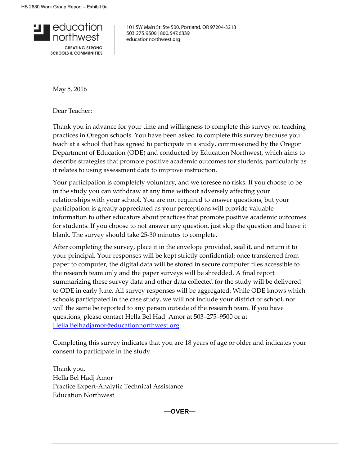

101 SW Main St, Ste 500, Portland, OR 97204-3213 503.275.9500 | 800.547.6339 educationnorthwest.org

May 5, 2016

Dear Teacher:

Thank you in advance for your time and willingness to complete this survey on teaching practices in Oregon schools. You have been asked to complete this survey because you teach at a school that has agreed to participate in a study, commissioned by the Oregon Department of Education (ODE) and conducted by Education Northwest, which aims to describe strategies that promote positive academic outcomes for students, particularly as it relates to using assessment data to improve instruction.

Your participation is completely voluntary, and we foresee no risks. If you choose to be in the study you can withdraw at any time without adversely affecting your relationships with your school. You are not required to answer questions, but your participation is greatly appreciated as your perceptions will provide valuable information to other educators about practices that promote positive academic outcomes for students. If you choose to not answer any question, just skip the question and leave it blank. The survey should take 25-30 minutes to complete.

After completing the survey, place it in the envelope provided, seal it, and return it to your principal. Your responses will be kept strictly confidential; once transferred from paper to computer, the digital data will be stored in secure computer files accessible to the research team only and the paper surveys will be shredded. A final report summarizing these survey data and other data collected for the study will be delivered to ODE in early June. All survey responses will be aggregated. While ODE knows which schools participated in the case study, we will not include your district or school, nor will the same be reported to any person outside of the research team. If you have questions, please contact Hella Bel Hadj Amor at 503–275–9500 or at [Hella.Belhadjamor@educationnorthwest.org.](mailto:Hella.Belhadjamor@educationnorthwest.org)

Completing this survey indicates that you are 18 years of age or older and indicates your consent to participate in the study.

Thank you, Hella Bel Hadj Amor Practice Expert-Analytic Technical Assistance Education Northwest

**—OVER—**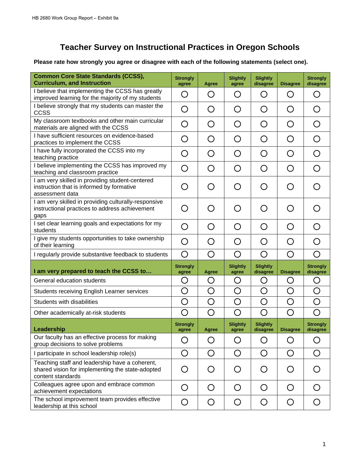# **Teacher Survey on Instructional Practices in Oregon Schools**

**Please rate how strongly you agree or disagree with each of the following statements (select one).** 

| <b>Common Core State Standards (CCSS),</b><br><b>Curriculum, and Instruction</b>                                        | <b>Strongly</b><br>agree                      | <b>Agree</b>                                  | <b>Slightly</b><br>agree                      | <b>Slightly</b><br>disagree | <b>Disagree</b>                               | <b>Strongly</b><br>disagree                   |
|-------------------------------------------------------------------------------------------------------------------------|-----------------------------------------------|-----------------------------------------------|-----------------------------------------------|-----------------------------|-----------------------------------------------|-----------------------------------------------|
| I believe that implementing the CCSS has greatly<br>improved learning for the majority of my students                   | O                                             | O                                             | O                                             | O                           | $\bigcirc$                                    | ( )                                           |
| I believe strongly that my students can master the<br>CCSS                                                              | O                                             | O                                             | O                                             | O                           | ◯                                             | $\left(\begin{array}{c} 1 \end{array}\right)$ |
| My classroom textbooks and other main curricular<br>materials are aligned with the CCSS                                 | ( )                                           | ◯                                             | ()                                            | O                           | $\bigcirc$                                    | $\bigcap$                                     |
| I have sufficient resources on evidence-based<br>practices to implement the CCSS                                        | O                                             | ∩                                             | O                                             | O                           | ∩                                             | ◯                                             |
| I have fully incorporated the CCSS into my<br>teaching practice                                                         | ◯                                             | ∩                                             | ∩                                             | ◯                           | ◯                                             | ◯                                             |
| I believe implementing the CCSS has improved my<br>teaching and classroom practice                                      | O                                             | $\left(\begin{array}{c} 1 \end{array}\right)$ | $\left(\begin{array}{c} 1 \end{array}\right)$ | O                           | O                                             |                                               |
| I am very skilled in providing student-centered<br>instruction that is informed by formative<br>assessment data         | $\left(\begin{array}{c} 1 \end{array}\right)$ | $\bigcap$                                     | $\bigcap$                                     | ◯                           | $\bigcap$                                     |                                               |
| I am very skilled in providing culturally-responsive<br>instructional practices to address achievement<br>gaps          | ( )                                           | $\bigcap$                                     | ◯                                             | ◯                           | $\left(\begin{array}{c} 1 \end{array}\right)$ |                                               |
| I set clear learning goals and expectations for my<br>students                                                          | $\bigcirc$                                    | $\bigcirc$                                    | $\left( \right)$                              | O                           | $\bigcirc$                                    |                                               |
| I give my students opportunities to take ownership<br>of their learning                                                 | O                                             | ◯                                             | $\bigcap$                                     | O                           | $\bigcap$                                     |                                               |
| I regularly provide substantive feedback to students                                                                    | $\bigcirc$                                    | ∩                                             | ∩                                             | O                           | ∩                                             | ∩                                             |
| I am very prepared to teach the CCSS to                                                                                 | <b>Strongly</b><br>agree                      | <b>Agree</b>                                  | <b>Slightly</b><br>agree                      | <b>Slightly</b><br>disagree | <b>Disagree</b>                               | <b>Strongly</b><br>disagree                   |
| General education students                                                                                              | O                                             | O                                             | O                                             | O                           | O                                             | O                                             |
| <b>Students receiving English Learner services</b>                                                                      | O                                             | O                                             | O                                             | O                           | O                                             | O                                             |
| Students with disabilities                                                                                              | O                                             | O                                             | O                                             | O                           | O                                             | O                                             |
| Other academically at-risk students                                                                                     | ∩                                             | ∩                                             | ∩                                             | O                           | ∩                                             | ∩                                             |
| Leadership                                                                                                              | <b>Strongly</b><br>agree                      | Agree                                         | <b>Slightly</b><br>agree                      | <b>Slightly</b><br>disagree | <b>Disagree</b>                               | <b>Strongly</b><br>disagree                   |
| Our faculty has an effective process for making<br>group decisions to solve problems                                    | O                                             | O                                             | O                                             | O                           | O                                             | ◯                                             |
| I participate in school leadership role(s)                                                                              | O                                             | O                                             | O                                             | O                           | O                                             | ∩                                             |
| Teaching staff and leadership have a coherent,<br>shared vision for implementing the state-adopted<br>content standards | O                                             | O                                             | O                                             | O                           | O                                             | $\bigcirc$                                    |
| Colleagues agree upon and embrace common<br>achievement expectations                                                    | O                                             | O                                             | O                                             | O                           | O                                             | O                                             |
| The school improvement team provides effective<br>leadership at this school                                             | O                                             | O                                             | O                                             | O                           | O                                             | $\bigcirc$                                    |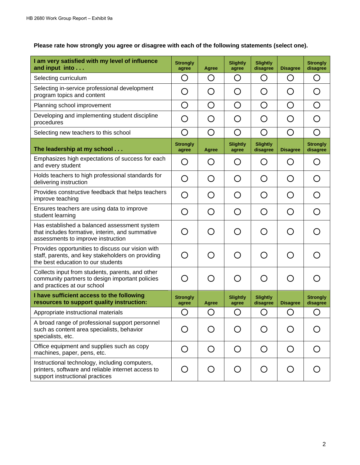| I am very satisfied with my level of influence<br>and input into                                                                             | <b>Strongly</b><br>agree | <b>Agree</b> | <b>Slightly</b><br>agree | <b>Slightly</b><br>disagree | <b>Disagree</b>                               | <b>Strongly</b><br>disagree                   |
|----------------------------------------------------------------------------------------------------------------------------------------------|--------------------------|--------------|--------------------------|-----------------------------|-----------------------------------------------|-----------------------------------------------|
| Selecting curriculum                                                                                                                         | O                        | O            | O                        | O                           | O                                             | O                                             |
| Selecting in-service professional development<br>program topics and content                                                                  | O                        | O            | O                        | O                           | O                                             | $\left(\begin{array}{c} 1 \end{array}\right)$ |
| Planning school improvement                                                                                                                  | O                        | O            | O                        | O                           | O                                             | O                                             |
| Developing and implementing student discipline<br>procedures                                                                                 | O                        | O            | O                        | O                           | O                                             | $\bigcap$                                     |
| Selecting new teachers to this school                                                                                                        | O                        | O            | O                        | O                           | O                                             | O                                             |
| The leadership at my school                                                                                                                  | <b>Strongly</b><br>agree | <b>Agree</b> | <b>Slightly</b><br>agree | <b>Slightly</b><br>disagree | <b>Disagree</b>                               | <b>Strongly</b><br>disagree                   |
| Emphasizes high expectations of success for each<br>and every student                                                                        | O                        | O            | O                        | O                           | O                                             | O                                             |
| Holds teachers to high professional standards for<br>delivering instruction                                                                  | O                        | O            | O                        | O                           | O                                             | O                                             |
| Provides constructive feedback that helps teachers<br>improve teaching                                                                       | O                        | O            | O                        | O                           | O                                             | ∩                                             |
| Ensures teachers are using data to improve<br>student learning                                                                               | O                        | O            | O                        | O                           | $\bigcirc$                                    | $\left(\begin{array}{c} 1 \end{array}\right)$ |
| Has established a balanced assessment system<br>that includes formative, interim, and summative<br>assessments to improve instruction        | ◯                        | ∩            | ∩                        | O                           | ◯                                             |                                               |
| Provides opportunities to discuss our vision with<br>staff, parents, and key stakeholders on providing<br>the best education to our students | O                        | O            | O                        | O                           | O                                             |                                               |
| Collects input from students, parents, and other<br>community partners to design important policies<br>and practices at our school           | O                        | O            | O                        | O                           | $\left(\begin{array}{c} 1 \end{array}\right)$ | ( )                                           |
| I have sufficient access to the following<br>resources to support quality instruction:                                                       | <b>Strongly</b><br>agree | <b>Agree</b> | <b>Slightly</b><br>agree | <b>Slightly</b><br>disagree | <b>Disagree</b>                               | <b>Strongly</b><br>disagree                   |
| Appropriate instructional materials                                                                                                          | O                        | O            | O                        | O                           | O                                             | O                                             |
| A broad range of professional support personnel<br>such as content area specialists, behavior<br>specialists, etc.                           | $\left( \ \right)$       | O            | O                        | O                           | $\left(\begin{array}{c} 1 \end{array}\right)$ |                                               |
| Office equipment and supplies such as copy<br>machines, paper, pens, etc.                                                                    | O                        | O            | O                        | O                           | O                                             |                                               |
| Instructional technology, including computers,<br>printers, software and reliable internet access to<br>support instructional practices      | O                        | O            | O                        | O                           | O                                             |                                               |

## **Please rate how strongly you agree or disagree with each of the following statements (select one).**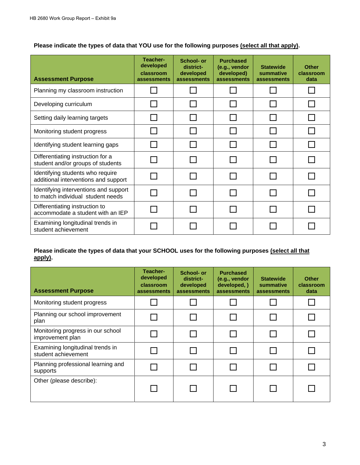### **Please indicate the types of data that YOU use for the following purposes (select all that apply).**

| <b>Assessment Purpose</b>                                                  | Teacher-<br>developed<br>classroom<br>assessments | School- or<br>district-<br>developed<br>assessments | <b>Purchased</b><br>(e.g., vendor<br>developed)<br>assessments | <b>Statewide</b><br>summative<br>assessments | <b>Other</b><br>classroom<br>data |
|----------------------------------------------------------------------------|---------------------------------------------------|-----------------------------------------------------|----------------------------------------------------------------|----------------------------------------------|-----------------------------------|
| Planning my classroom instruction                                          |                                                   |                                                     |                                                                |                                              |                                   |
| Developing curriculum                                                      |                                                   |                                                     |                                                                |                                              |                                   |
| Setting daily learning targets                                             |                                                   |                                                     |                                                                |                                              |                                   |
| Monitoring student progress                                                |                                                   |                                                     |                                                                |                                              |                                   |
| Identifying student learning gaps                                          |                                                   |                                                     |                                                                |                                              |                                   |
| Differentiating instruction for a<br>student and/or groups of students     |                                                   |                                                     |                                                                |                                              |                                   |
| Identifying students who require<br>additional interventions and support   |                                                   |                                                     |                                                                |                                              |                                   |
| Identifying interventions and support<br>to match individual student needs |                                                   |                                                     |                                                                |                                              |                                   |
| Differentiating instruction to<br>accommodate a student with an IEP        |                                                   |                                                     |                                                                |                                              |                                   |
| Examining longitudinal trends in<br>student achievement                    |                                                   |                                                     |                                                                |                                              |                                   |

#### **Please indicate the types of data that your SCHOOL uses for the following purposes (select all that apply).**

| <b>Assessment Purpose</b>                               | Teacher-<br>developed<br>classroom<br>assessments | School- or<br>district-<br>developed<br>assessments | <b>Purchased</b><br>(e.g., vendor<br>developed, )<br><b>assessments</b> | <b>Statewide</b><br>summative<br>assessments | <b>Other</b><br>classroom<br>data |
|---------------------------------------------------------|---------------------------------------------------|-----------------------------------------------------|-------------------------------------------------------------------------|----------------------------------------------|-----------------------------------|
| Monitoring student progress                             |                                                   |                                                     |                                                                         |                                              |                                   |
| Planning our school improvement<br>plan                 |                                                   |                                                     |                                                                         |                                              |                                   |
| Monitoring progress in our school<br>improvement plan   |                                                   |                                                     |                                                                         |                                              |                                   |
| Examining longitudinal trends in<br>student achievement |                                                   |                                                     |                                                                         |                                              |                                   |
| Planning professional learning and<br>supports          |                                                   |                                                     |                                                                         |                                              |                                   |
| Other (please describe):                                |                                                   |                                                     |                                                                         |                                              |                                   |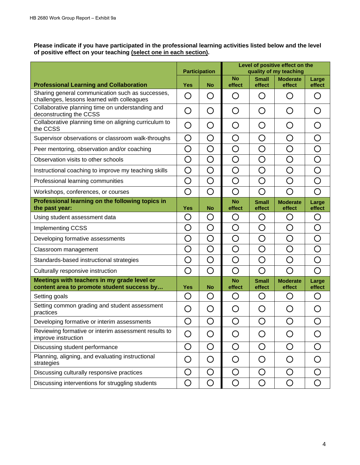**Please indicate if you have participated in the professional learning activities listed below and the level of positive effect on your teaching (select one in each section).** 

|                                                                                                 | <b>Participation</b> |            | Level of positive effect on the<br>quality of my teaching |                        |                                               |                 |
|-------------------------------------------------------------------------------------------------|----------------------|------------|-----------------------------------------------------------|------------------------|-----------------------------------------------|-----------------|
| <b>Professional Learning and Collaboration</b>                                                  | <b>Yes</b>           | <b>No</b>  | <b>No</b><br>effect                                       | <b>Small</b><br>effect | <b>Moderate</b><br>effect                     | Large<br>effect |
| Sharing general communication such as successes,<br>challenges, lessons learned with colleagues | O                    | O          | O                                                         | O                      | $\left(\begin{array}{c} 1 \end{array}\right)$ | O               |
| Collaborative planning time on understanding and<br>deconstructing the CCSS                     | O                    | O          | O                                                         | O                      | O                                             | O               |
| Collaborative planning time on aligning curriculum to<br>the CCSS                               | O                    | O          | O                                                         | O                      | O                                             | O               |
| Supervisor observations or classroom walk-throughs                                              | O                    | O          | O                                                         | O                      | O                                             | O               |
| Peer mentoring, observation and/or coaching                                                     | O                    | O          | O                                                         | O                      | O                                             | O               |
| Observation visits to other schools                                                             | $\bigcirc$           | O          | O                                                         | O                      | O                                             | O               |
| Instructional coaching to improve my teaching skills                                            | O                    | O          | O                                                         | O                      | O                                             | O               |
| Professional learning communities                                                               | O                    | O          | O                                                         | O                      | O                                             | O               |
| Workshops, conferences, or courses                                                              | O                    | ◯          | O                                                         | O                      | ◯                                             | O               |
| Professional learning on the following topics in<br>the past year:                              | <b>Yes</b>           | <b>No</b>  | <b>No</b><br>effect                                       | <b>Small</b><br>effect | <b>Moderate</b><br>effect                     | Large<br>effect |
| Using student assessment data                                                                   | O                    | O          | O                                                         | O                      | O                                             | O               |
| <b>Implementing CCSS</b>                                                                        | O                    | O          | O                                                         | $\bigcirc$             | O                                             | O               |
| Developing formative assessments                                                                | O                    | O          | O                                                         | O                      | O                                             | O               |
| Classroom management                                                                            | O                    | O          | O                                                         | $\bigcirc$             | O                                             | O               |
| Standards-based instructional strategies                                                        | O                    | O          | O                                                         | O                      | ◯                                             | O               |
| Culturally responsive instruction                                                               | O                    | O          | O                                                         | O                      | ◯                                             | O               |
| Meetings with teachers in my grade level or<br>content area to promote student success by       | <b>Yes</b>           | <b>No</b>  | <b>No</b><br>effect                                       | <b>Small</b><br>effect | <b>Moderate</b><br>effect                     | Large<br>effect |
| Setting goals                                                                                   | O                    | O          | O                                                         | O                      | O                                             | O               |
| Setting common grading and student assessment<br>practices                                      | O                    | O          | O                                                         | O                      | O                                             | O               |
| Developing formative or interim assessments                                                     | $\bigcirc$           | $\bigcirc$ | ◯                                                         | O                      | O                                             | O               |
| Reviewing formative or interim assessment results to<br>improve instruction                     | O                    | O          | O                                                         | O                      | O                                             | O               |
| Discussing student performance                                                                  | O                    | O          | O                                                         | O                      | O                                             | O               |
| Planning, aligning, and evaluating instructional<br>strategies                                  | O                    | O          | O                                                         | O                      | O                                             | O               |
| Discussing culturally responsive practices                                                      | O                    | O          | O                                                         | O                      | O                                             | O               |
| Discussing interventions for struggling students                                                | O                    | O          | O                                                         | O                      | O                                             | O               |